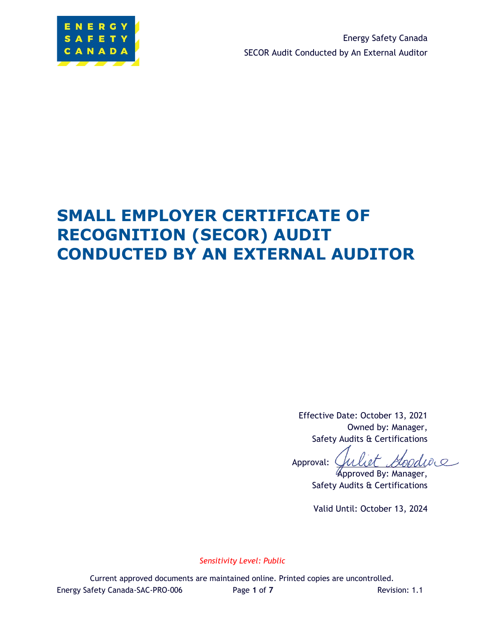

Energy Safety Canada SECOR Audit Conducted by An External Auditor

# **SMALL EMPLOYER CERTIFICATE OF RECOGNITION (SECOR) AUDIT CONDUCTED BY AN EXTERNAL AUDITOR**

Effective Date: October 13, 2021 Owned by: Manager, Safety Audits & Certifications

bodiac Approval:

Approved By: Manager, Safety Audits & Certifications

Valid Until: October 13, 2024

*Sensitivity Level: Public*

Current approved documents are maintained online. Printed copies are uncontrolled. Energy Safety Canada-SAC-PRO-006 Page **1** of **7** Revision: 1.1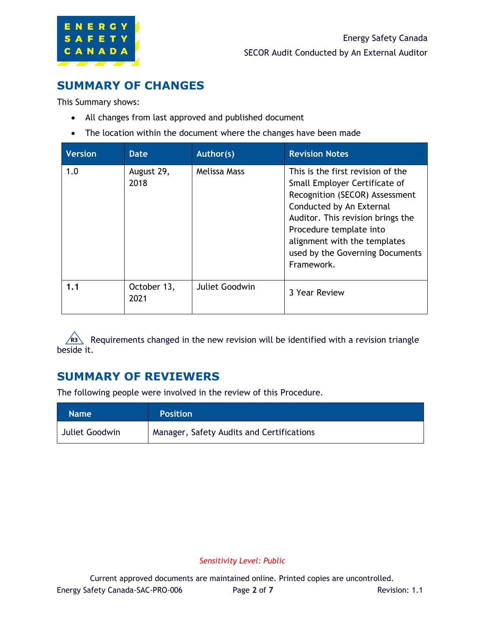

### **SUMMARY OF CHANGES**

This Summary shows:

- All changes from last approved and published document
- The location within the document where the changes have been made

| <b>Version</b> | <b>Date</b>         | Author(s)           | <b>Revision Notes</b>                                                                                                                                                                                                                                                             |
|----------------|---------------------|---------------------|-----------------------------------------------------------------------------------------------------------------------------------------------------------------------------------------------------------------------------------------------------------------------------------|
| 1.0            | August 29,<br>2018  | <b>Melissa Mass</b> | This is the first revision of the<br>Small Employer Certificate of<br>Recognition (SECOR) Assessment<br>Conducted by An External<br>Auditor. This revision brings the<br>Procedure template into<br>alignment with the templates<br>used by the Governing Documents<br>Framework. |
| 1.1            | October 13,<br>2021 | Juliet Goodwin      | 3 Year Review                                                                                                                                                                                                                                                                     |

Requirements changed in the new revision will be identified with a revision triangle beside it.

### **SUMMARY OF REVIEWERS**

The following people were involved in the review of this Procedure.

| <b>Name</b>    | <b>Position</b>                           |
|----------------|-------------------------------------------|
| Juliet Goodwin | Manager, Safety Audits and Certifications |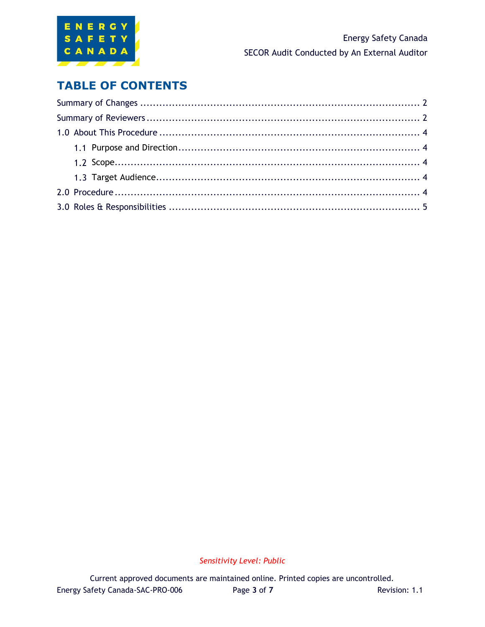

### **TABLE OF CONTENTS**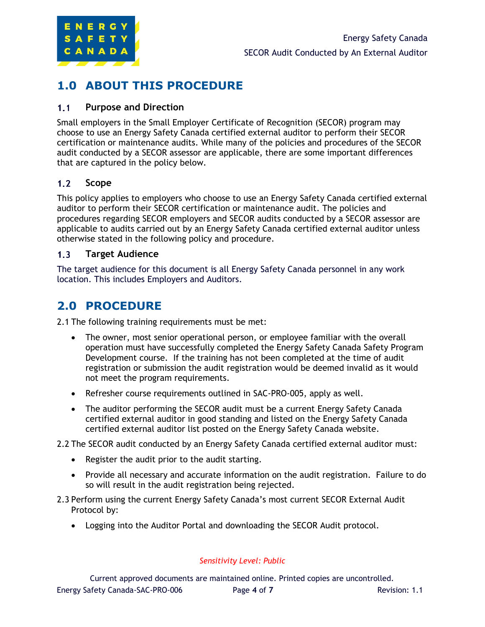

## **1.0 ABOUT THIS PROCEDURE**

#### $1.1$ **Purpose and Direction**

Small employers in the Small Employer Certificate of Recognition (SECOR) program may choose to use an Energy Safety Canada certified external auditor to perform their SECOR certification or maintenance audits. While many of the policies and procedures of the SECOR audit conducted by a SECOR assessor are applicable, there are some important differences that are captured in the policy below.

#### $1.2$ **Scope**

This policy applies to employers who choose to use an Energy Safety Canada certified external auditor to perform their SECOR certification or maintenance audit. The policies and procedures regarding SECOR employers and SECOR audits conducted by a SECOR assessor are applicable to audits carried out by an Energy Safety Canada certified external auditor unless otherwise stated in the following policy and procedure.

#### $1.3$ **Target Audience**

The target audience for this document is all Energy Safety Canada personnel in any work location. This includes Employers and Auditors.

### **2.0 PROCEDURE**

2.1 The following training requirements must be met:

- The owner, most senior operational person, or employee familiar with the overall operation must have successfully completed the Energy Safety Canada Safety Program Development course. If the training has not been completed at the time of audit registration or submission the audit registration would be deemed invalid as it would not meet the program requirements.
- Refresher course requirements outlined in SAC-PRO-005, apply as well.
- The auditor performing the SECOR audit must be a current Energy Safety Canada certified external auditor in good standing and listed on the Energy Safety Canada certified external auditor list posted on the Energy Safety Canada website.
- 2.2 The SECOR audit conducted by an Energy Safety Canada certified external auditor must:
	- Register the audit prior to the audit starting.
	- Provide all necessary and accurate information on the audit registration. Failure to do so will result in the audit registration being rejected.
- 2.3 Perform using the current Energy Safety Canada's most current SECOR External Audit Protocol by:
	- Logging into the Auditor Portal and downloading the SECOR Audit protocol.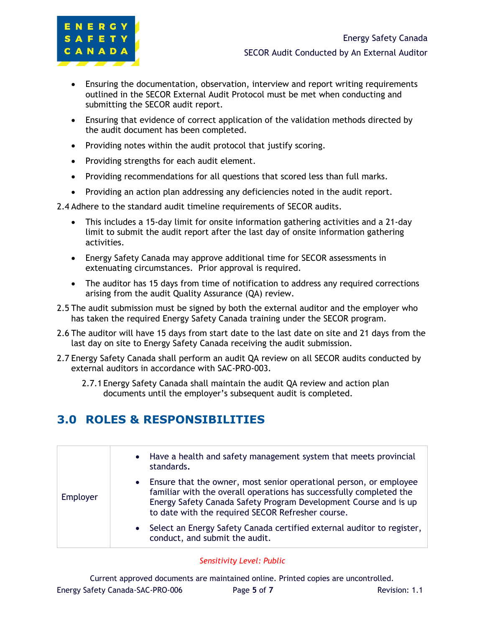

- Ensuring the documentation, observation, interview and report writing requirements outlined in the SECOR External Audit Protocol must be met when conducting and submitting the SECOR audit report.
- Ensuring that evidence of correct application of the validation methods directed by the audit document has been completed.
- Providing notes within the audit protocol that justify scoring.
- Providing strengths for each audit element.
- Providing recommendations for all questions that scored less than full marks.
- Providing an action plan addressing any deficiencies noted in the audit report.

2.4 Adhere to the standard audit timeline requirements of SECOR audits.

- This includes a 15-day limit for onsite information gathering activities and a 21-day limit to submit the audit report after the last day of onsite information gathering activities.
- Energy Safety Canada may approve additional time for SECOR assessments in extenuating circumstances. Prior approval is required.
- The auditor has 15 days from time of notification to address any required corrections arising from the audit Quality Assurance (QA) review.
- 2.5 The audit submission must be signed by both the external auditor and the employer who has taken the required Energy Safety Canada training under the SECOR program.
- 2.6 The auditor will have 15 days from start date to the last date on site and 21 days from the last day on site to Energy Safety Canada receiving the audit submission.
- 2.7 Energy Safety Canada shall perform an audit QA review on all SECOR audits conducted by external auditors in accordance with SAC-PRO-003.
	- 2.7.1 Energy Safety Canada shall maintain the audit QA review and action plan documents until the employer's subsequent audit is completed.

## **3.0 ROLES & RESPONSIBILITIES**

|          | Have a health and safety management system that meets provincial<br>$\bullet$<br>standards.                                                                                                                                                                                     |
|----------|---------------------------------------------------------------------------------------------------------------------------------------------------------------------------------------------------------------------------------------------------------------------------------|
| Employer | Ensure that the owner, most senior operational person, or employee<br>$\bullet$<br>familiar with the overall operations has successfully completed the<br>Energy Safety Canada Safety Program Development Course and is up<br>to date with the required SECOR Refresher course. |
|          | Select an Energy Safety Canada certified external auditor to register,<br>$\bullet$<br>conduct, and submit the audit.                                                                                                                                                           |

### *Sensitivity Level: Public*

Current approved documents are maintained online. Printed copies are uncontrolled. Energy Safety Canada-SAC-PRO-006 Page **5** of **7** Revision: 1.1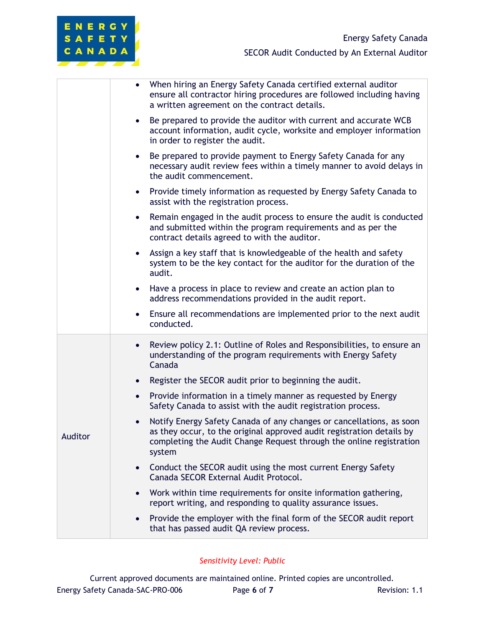| When hiring an Energy Safety Canada certified external auditor<br>$\bullet$<br>ensure all contractor hiring procedures are followed including having<br>a written agreement on the contract details. |                                                                                                                                                                                                                                             |
|------------------------------------------------------------------------------------------------------------------------------------------------------------------------------------------------------|---------------------------------------------------------------------------------------------------------------------------------------------------------------------------------------------------------------------------------------------|
|                                                                                                                                                                                                      | Be prepared to provide the auditor with current and accurate WCB<br>$\bullet$<br>account information, audit cycle, worksite and employer information<br>in order to register the audit.                                                     |
|                                                                                                                                                                                                      | Be prepared to provide payment to Energy Safety Canada for any<br>$\bullet$<br>necessary audit review fees within a timely manner to avoid delays in<br>the audit commencement.                                                             |
|                                                                                                                                                                                                      | Provide timely information as requested by Energy Safety Canada to<br>$\bullet$<br>assist with the registration process.                                                                                                                    |
|                                                                                                                                                                                                      | Remain engaged in the audit process to ensure the audit is conducted<br>$\bullet$<br>and submitted within the program requirements and as per the<br>contract details agreed to with the auditor.                                           |
|                                                                                                                                                                                                      | Assign a key staff that is knowledgeable of the health and safety<br>$\bullet$<br>system to be the key contact for the auditor for the duration of the<br>audit.                                                                            |
|                                                                                                                                                                                                      | Have a process in place to review and create an action plan to<br>$\bullet$<br>address recommendations provided in the audit report.                                                                                                        |
|                                                                                                                                                                                                      | Ensure all recommendations are implemented prior to the next audit<br>$\bullet$<br>conducted.                                                                                                                                               |
|                                                                                                                                                                                                      | Review policy 2.1: Outline of Roles and Responsibilities, to ensure an<br>$\bullet$<br>understanding of the program requirements with Energy Safety<br>Canada                                                                               |
|                                                                                                                                                                                                      | Register the SECOR audit prior to beginning the audit.<br>$\bullet$                                                                                                                                                                         |
|                                                                                                                                                                                                      | Provide information in a timely manner as requested by Energy<br>$\bullet$<br>Safety Canada to assist with the audit registration process.                                                                                                  |
| Auditor                                                                                                                                                                                              | Notify Energy Safety Canada of any changes or cancellations, as soon<br>$\bullet$<br>as they occur, to the original approved audit registration details by<br>completing the Audit Change Request through the online registration<br>system |
|                                                                                                                                                                                                      | Conduct the SECOR audit using the most current Energy Safety<br>$\bullet$<br>Canada SECOR External Audit Protocol.                                                                                                                          |
|                                                                                                                                                                                                      | Work within time requirements for onsite information gathering,<br>$\bullet$<br>report writing, and responding to quality assurance issues.                                                                                                 |
|                                                                                                                                                                                                      | Provide the employer with the final form of the SECOR audit report<br>$\bullet$<br>that has passed audit QA review process.                                                                                                                 |

ENERGY SAFETY CANADA